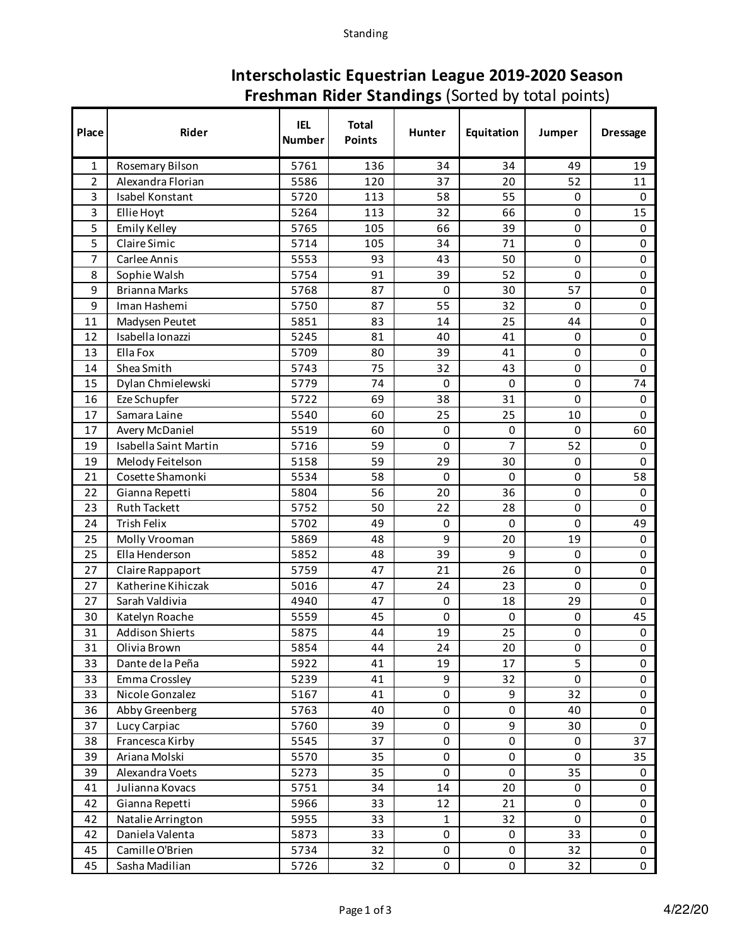## **Interscholastic Equestrian League 2019-2020 Season Freshman Rider Standings** (Sorted by total points)

| Place          | Rider                              | <b>IEL</b><br><b>Number</b> | <b>Total</b><br><b>Points</b> | <b>Hunter</b>     | Equitation     | Jumper      | <b>Dressage</b>     |
|----------------|------------------------------------|-----------------------------|-------------------------------|-------------------|----------------|-------------|---------------------|
| 1              | Rosemary Bilson                    | 5761                        | 136                           | 34                | 34             | 49          | 19                  |
| $\overline{2}$ | Alexandra Florian                  | 5586                        | 120                           | 37                | 20             | 52          | 11                  |
| 3              | Isabel Konstant                    | 5720                        | 113                           | 58                | 55             | 0           | 0                   |
| 3              | Ellie Hoyt                         | 5264                        | 113                           | 32                | 66             | 0           | 15                  |
| 5              | Emily Kelley                       | 5765                        | 105                           | 66                | 39             | 0           | $\mathbf 0$         |
| 5              | Claire Simic                       | 5714                        | 105                           | 34                | 71             | 0           | 0                   |
| 7              | Carlee Annis                       | 5553                        | 93                            | 43                | 50             | 0           | 0                   |
| 8              | Sophie Walsh                       | 5754                        | 91                            | 39                | 52             | 0           | $\pmb{0}$           |
| 9              | <b>Brianna Marks</b>               | 5768                        | 87                            | 0                 | 30             | 57          | 0                   |
| 9              | Iman Hashemi                       | 5750                        | 87                            | 55                | 32             | 0           | 0                   |
| 11             | Madysen Peutet                     | 5851                        | 83                            | 14                | 25             | 44          | 0                   |
| 12             | Isabella Ionazzi                   | 5245                        | 81                            | 40                | 41             | 0           | 0                   |
| 13             | Ella Fox                           | 5709                        | 80                            | 39                | 41             | $\mathbf 0$ | 0                   |
| 14             | Shea Smith                         | 5743                        | 75                            | 32                | 43             | 0           | 0                   |
| 15             | Dylan Chmielewski                  | 5779                        | 74                            | 0                 | 0              | 0           | 74                  |
| 16             | Eze Schupfer                       | 5722                        | 69                            | 38                | 31             | $\mathbf 0$ | $\mathsf{O}\xspace$ |
| 17             | Samara Laine                       | 5540                        | 60                            | 25                | 25             | 10          | $\Omega$            |
| 17             | Avery McDaniel                     | 5519                        | 60                            | 0                 | 0              | 0           | 60                  |
| 19             | Isabella Saint Martin              | 5716                        | 59                            | $\mathbf 0$       | $\overline{7}$ | 52          | $\mathbf 0$         |
| 19             | Melody Feitelson                   | 5158                        | 59                            | 29                | 30             | 0           | 0                   |
| 21             | Cosette Shamonki                   | 5534                        | 58                            | $\Omega$          | 0              | 0           | 58                  |
| 22             | Gianna Repetti                     | 5804                        | 56                            | 20                | 36             | 0           | $\mathbf 0$         |
| 23             | <b>Ruth Tackett</b>                | 5752                        | 50                            | 22                | 28             | 0           | $\Omega$            |
| 24             | Trish Felix                        | 5702                        | 49                            | $\mathbf 0$       | 0              | 0           | 49                  |
| 25             | Molly Vrooman                      | 5869                        | 48                            | 9                 | 20             | 19          | $\mathbf 0$         |
| 25             | Ella Henderson                     | 5852                        | 48                            | 39                | 9              | 0           | 0                   |
| 27             | Claire Rappaport                   | 5759                        | 47                            | 21                | 26             | 0           | 0                   |
| 27             | Katherine Kihiczak                 | 5016                        | 47                            | 24                | 23             | $\mathbf 0$ | 0                   |
| 27             | Sarah Valdivia                     | 4940                        | 47                            | 0                 | 18             | 29          | $\mathbf 0$         |
| 30             | Katelyn Roache                     | 5559                        | 45                            | $\Omega$          | 0              | 0           | 45                  |
| 31             | <b>Addison Shierts</b>             | 5875                        | 44                            | 19                | 25             | $\mathbf 0$ | $\pmb{0}$           |
| 31             | Olivia Brown                       | 5854                        | 44                            | 24                | 20             | 0           | 0                   |
| 33             | Dante de la Peña                   | 5922                        | 41                            | 19                | 17             | 5           | $\mathsf{O}$        |
| 33             | Emma Crossley                      | 5239                        | 41                            | 9                 | 32             | $\mathbf 0$ | 0                   |
| 33             | Nicole Gonzalez                    | 5167                        | 41                            | $\pmb{0}$         | 9              | 32          | $\mathbf 0$         |
| 36             | Abby Greenberg                     | 5763                        | 40                            | 0                 | 0              | 40          | 0                   |
| 37             | Lucy Carpiac                       | 5760                        | 39                            | $\pmb{0}$         | 9              | 30          | 0                   |
| 38             | Francesca Kirby                    | 5545                        | 37                            | 0                 | 0              | 0           | 37                  |
| 39             | Ariana Molski                      | 5570                        | 35                            | 0<br>$\mathbf 0$  | 0              | 0           | 35                  |
| 39             | Alexandra Voets                    | 5273                        | 35<br>34                      | 14                | 0<br>20        | 35<br>0     | 0<br>$\mathsf{O}$   |
| 41             | Julianna Kovacs                    | 5751                        |                               |                   |                |             |                     |
| 42             | Gianna Repetti                     | 5966                        | 33                            | 12                | 21             | 0           | 0                   |
| 42             | Natalie Arrington                  | 5955<br>5873                | 33<br>33                      | $\mathbf{1}$<br>0 | 32             | 0<br>33     | 0<br>0              |
| 42             | Daniela Valenta<br>Camille O'Brien | 5734                        | 32                            | 0                 | 0<br>0         | 32          | 0                   |
| 45             |                                    |                             |                               |                   |                |             |                     |
| 45             | Sasha Madilian                     | 5726                        | 32                            | 0                 | 0              | 32          | $\mathbf 0$         |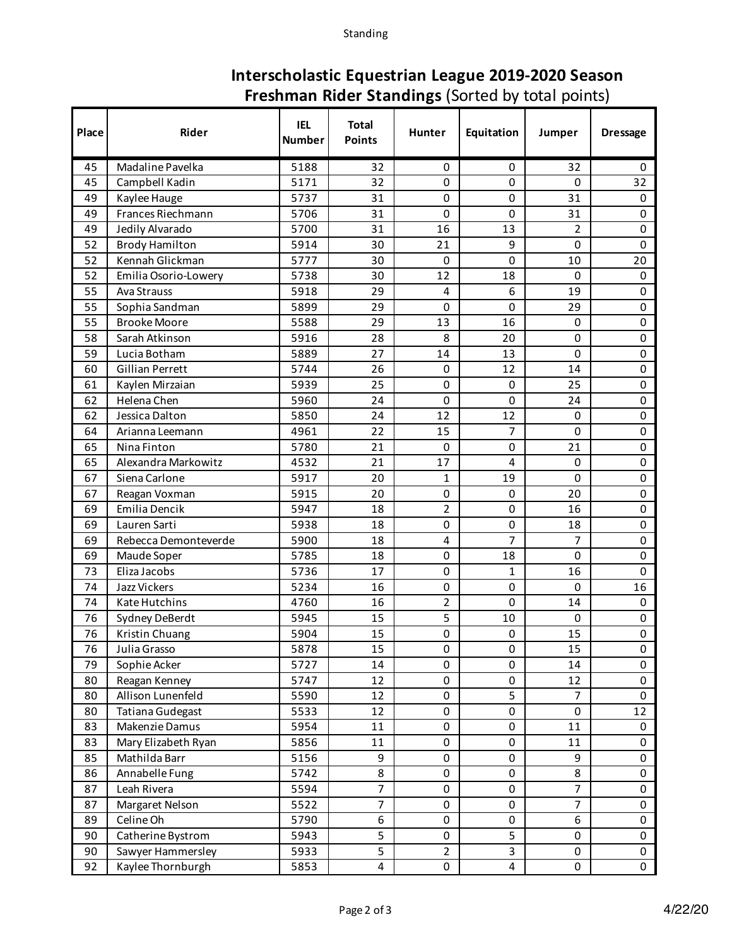## **Interscholastic Equestrian League 2019-2020 Season Freshman Rider Standings** (Sorted by total points)

| Place | Rider                   | <b>IEL</b><br><b>Number</b> | <b>Total</b><br><b>Points</b> | Hunter         | Equitation     | Jumper         | <b>Dressage</b>     |
|-------|-------------------------|-----------------------------|-------------------------------|----------------|----------------|----------------|---------------------|
| 45    | Madaline Pavelka        | 5188                        | 32                            | 0              | 0              | 32             | 0                   |
| 45    | Campbell Kadin          | 5171                        | 32                            | 0              | 0              | 0              | 32                  |
| 49    | Kaylee Hauge            | 5737                        | 31                            | 0              | 0              | 31             | $\pmb{0}$           |
| 49    | Frances Riechmann       | 5706                        | 31                            | $\mathbf 0$    | 0              | 31             | 0                   |
| 49    | Jedily Alvarado         | 5700                        | 31                            | 16             | 13             | $\overline{2}$ | 0                   |
| 52    | <b>Brody Hamilton</b>   | 5914                        | 30                            | 21             | 9              | 0              | $\mathbf 0$         |
| 52    | Kennah Glickman         | 5777                        | 30                            | $\mathbf 0$    | 0              | 10             | 20                  |
| 52    | Emilia Osorio-Lowery    | 5738                        | 30                            | 12             | 18             | 0              | 0                   |
| 55    | Ava Strauss             | 5918                        | 29                            | $\overline{4}$ | 6              | 19             | $\pmb{0}$           |
| 55    | Sophia Sandman          | 5899                        | 29                            | 0              | 0              | 29             | 0                   |
| 55    | <b>Brooke Moore</b>     | 5588                        | 29                            | 13             | 16             | 0              | 0                   |
| 58    | Sarah Atkinson          | 5916                        | 28                            | 8              | 20             | 0              | $\pmb{0}$           |
| 59    | Lucia Botham            | 5889                        | 27                            | 14             | 13             | 0              | $\pmb{0}$           |
| 60    | Gillian Perrett         | 5744                        | 26                            | 0              | 12             | 14             | 0                   |
| 61    | Kaylen Mirzaian         | 5939                        | 25                            | $\mathbf 0$    | 0              | 25             | $\pmb{0}$           |
| 62    | Helena Chen             | 5960                        | 24                            | 0              | 0              | 24             | 0                   |
| 62    | Jessica Dalton          | 5850                        | 24                            | 12             | 12             | 0              | $\pmb{0}$           |
| 64    | Arianna Leemann         | 4961                        | 22                            | 15             | $\overline{7}$ | 0              | $\pmb{0}$           |
| 65    | Nina Finton             | 5780                        | 21                            | 0              | 0              | 21             | 0                   |
| 65    | Alexandra Markowitz     | 4532                        | 21                            | 17             | 4              | 0              | 0                   |
| 67    | Siena Carlone           | 5917                        | 20                            | $\mathbf{1}$   | 19             | 0              | $\pmb{0}$           |
| 67    | Reagan Voxman           | 5915                        | 20                            | 0              | 0              | 20             | 0                   |
| 69    | Emilia Dencik           | 5947                        | 18                            | $\overline{2}$ | 0              | 16             | 0                   |
| 69    | Lauren Sarti            | 5938                        | 18                            | $\mathbf 0$    | 0              | 18             | $\mathsf{O}\xspace$ |
| 69    | Rebecca Demonteverde    | 5900                        | 18                            | 4              | 7              | 7              | $\pmb{0}$           |
| 69    | Maude Soper             | 5785                        | 18                            | 0              | 18             | 0              | 0                   |
| 73    | Eliza Jacobs            | 5736                        | 17                            | 0              | 1              | 16             | 0                   |
| 74    | Jazz Vickers            | 5234                        | 16                            | 0              | 0              | 0              | 16                  |
| 74    | Kate Hutchins           | 4760                        | 16                            | $\overline{2}$ | 0              | 14             | $\mathbf 0$         |
| 76    | Sydney DeBerdt          | 5945                        | 15                            | 5              | 10             | 0              | $\mathsf{O}\xspace$ |
| 76    | Kristin Chuang          | 5904                        | 15                            | $\mathbf 0$    | 0              | 15             | $\pmb{0}$           |
| 76    | Julia Grasso            | 5878                        | 15                            | 0              | 0              | 15             | 0                   |
| 79    | Sophie Acker            | 5727                        | 14                            | $\mathbf 0$    | 0              | 14             | $\mathsf{O}$        |
| 80    | Reagan Kenney           | 5747                        | 12                            | 0              | 0              | 12             | $\mathsf{O}$        |
| 80    | Allison Lunenfeld       | 5590                        | 12                            | 0              | 5              | $\overline{7}$ | 0                   |
| 80    | <b>Tatiana Gudegast</b> | 5533                        | 12                            | 0              | 0              | 0              | 12                  |
| 83    | Makenzie Damus          | 5954                        | 11                            | 0              | 0              | 11             | 0                   |
| 83    | Mary Elizabeth Ryan     | 5856                        | 11                            | 0              | 0              | 11             | 0                   |
| 85    | Mathilda Barr           | 5156                        | 9                             | 0              | 0              | 9              | 0                   |
| 86    | Annabelle Fung          | 5742                        | 8                             | 0              | 0              | 8              | 0                   |
| 87    | Leah Rivera             | 5594                        | $\overline{7}$                | 0              | 0              | $\overline{7}$ | 0                   |
| 87    | Margaret Nelson         | 5522                        | $\overline{7}$                | 0              | 0              | $\overline{7}$ | 0                   |
| 89    | Celine Oh               | 5790                        | 6                             | 0              | 0              | 6              | 0                   |
| 90    | Catherine Bystrom       | 5943                        | 5                             | 0              | 5              | 0              | 0                   |
| 90    | Sawyer Hammersley       | 5933                        | 5                             | $\overline{2}$ | 3              | 0              | 0                   |
| 92    | Kaylee Thornburgh       | 5853                        | 4                             | 0              | 4              | 0              | $\mathbf 0$         |